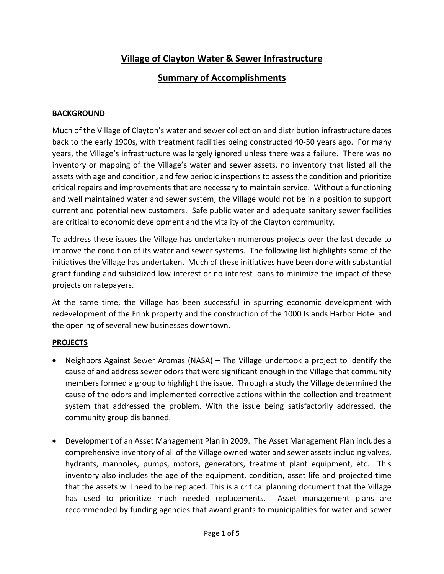## **Village of Clayton Water & Sewer Infrastructure**

## **Summary of Accomplishments**

## **BACKGROUND**

Much of the Village of Clayton's water and sewer collection and distribution infrastructure dates back to the early 1900s, with treatment facilities being constructed 40‐50 years ago. For many years, the Village's infrastructure was largely ignored unless there was a failure. There was no inventory or mapping of the Village's water and sewer assets, no inventory that listed all the assets with age and condition, and few periodic inspections to assess the condition and prioritize critical repairs and improvements that are necessary to maintain service. Without a functioning and well maintained water and sewer system, the Village would not be in a position to support current and potential new customers. Safe public water and adequate sanitary sewer facilities are critical to economic development and the vitality of the Clayton community.

To address these issues the Village has undertaken numerous projects over the last decade to improve the condition of its water and sewer systems. The following list highlights some of the initiatives the Village has undertaken. Much of these initiatives have been done with substantial grant funding and subsidized low interest or no interest loans to minimize the impact of these projects on ratepayers.

At the same time, the Village has been successful in spurring economic development with redevelopment of the Frink property and the construction of the 1000 Islands Harbor Hotel and the opening of several new businesses downtown.

## **PROJECTS**

- Neighbors Against Sewer Aromas (NASA) The Village undertook a project to identify the cause of and address sewer odors that were significant enough in the Village that community members formed a group to highlight the issue. Through a study the Village determined the cause of the odors and implemented corrective actions within the collection and treatment system that addressed the problem. With the issue being satisfactorily addressed, the community group dis banned.
- Development of an Asset Management Plan in 2009. The Asset Management Plan includes a comprehensive inventory of all of the Village owned water and sewer assets including valves, hydrants, manholes, pumps, motors, generators, treatment plant equipment, etc. This inventory also includes the age of the equipment, condition, asset life and projected time that the assets will need to be replaced. This is a critical planning document that the Village has used to prioritize much needed replacements. Asset management plans are recommended by funding agencies that award grants to municipalities for water and sewer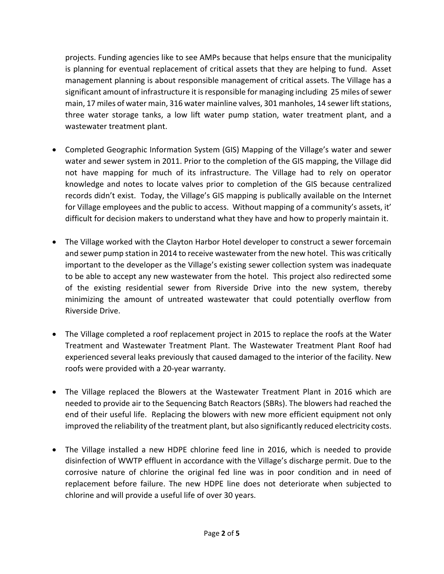projects. Funding agencies like to see AMPs because that helps ensure that the municipality is planning for eventual replacement of critical assets that they are helping to fund. Asset management planning is about responsible management of critical assets. The Village has a significant amount of infrastructure it is responsible for managing including 25 miles of sewer main, 17 miles of water main, 316 water mainline valves, 301 manholes, 14 sewer lift stations, three water storage tanks, a low lift water pump station, water treatment plant, and a wastewater treatment plant.

- Completed Geographic Information System (GIS) Mapping of the Village's water and sewer water and sewer system in 2011. Prior to the completion of the GIS mapping, the Village did not have mapping for much of its infrastructure. The Village had to rely on operator knowledge and notes to locate valves prior to completion of the GIS because centralized records didn't exist. Today, the Village's GIS mapping is publically available on the Internet for Village employees and the public to access. Without mapping of a community's assets, it' difficult for decision makers to understand what they have and how to properly maintain it.
- The Village worked with the Clayton Harbor Hotel developer to construct a sewer forcemain and sewer pump station in 2014 to receive wastewater from the new hotel. This was critically important to the developer as the Village's existing sewer collection system was inadequate to be able to accept any new wastewater from the hotel. This project also redirected some of the existing residential sewer from Riverside Drive into the new system, thereby minimizing the amount of untreated wastewater that could potentially overflow from Riverside Drive.
- The Village completed a roof replacement project in 2015 to replace the roofs at the Water Treatment and Wastewater Treatment Plant. The Wastewater Treatment Plant Roof had experienced several leaks previously that caused damaged to the interior of the facility. New roofs were provided with a 20‐year warranty.
- The Village replaced the Blowers at the Wastewater Treatment Plant in 2016 which are needed to provide air to the Sequencing Batch Reactors (SBRs). The blowers had reached the end of their useful life. Replacing the blowers with new more efficient equipment not only improved the reliability of the treatment plant, but also significantly reduced electricity costs.
- The Village installed a new HDPE chlorine feed line in 2016, which is needed to provide disinfection of WWTP effluent in accordance with the Village's discharge permit. Due to the corrosive nature of chlorine the original fed line was in poor condition and in need of replacement before failure. The new HDPE line does not deteriorate when subjected to chlorine and will provide a useful life of over 30 years.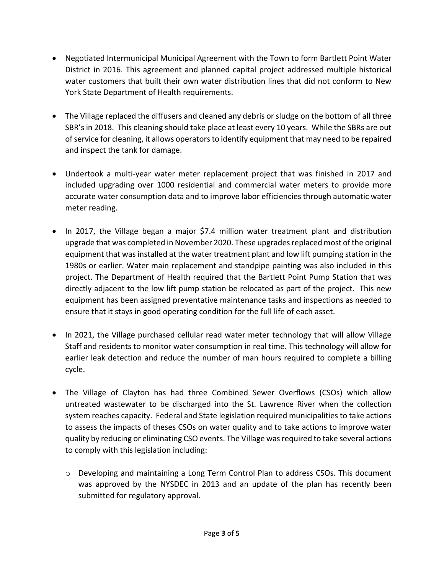- Negotiated Intermunicipal Municipal Agreement with the Town to form Bartlett Point Water District in 2016. This agreement and planned capital project addressed multiple historical water customers that built their own water distribution lines that did not conform to New York State Department of Health requirements.
- The Village replaced the diffusers and cleaned any debris or sludge on the bottom of all three SBR's in 2018. This cleaning should take place at least every 10 years. While the SBRs are out ofservice for cleaning, it allows operatorsto identify equipment that may need to be repaired and inspect the tank for damage.
- Undertook a multi‐year water meter replacement project that was finished in 2017 and included upgrading over 1000 residential and commercial water meters to provide more accurate water consumption data and to improve labor efficiencies through automatic water meter reading.
- In 2017, the Village began a major \$7.4 million water treatment plant and distribution upgrade that was completed in November 2020. These upgrades replaced most of the original equipment that wasinstalled at the water treatment plant and low lift pumping station in the 1980s or earlier. Water main replacement and standpipe painting was also included in this project. The Department of Health required that the Bartlett Point Pump Station that was directly adjacent to the low lift pump station be relocated as part of the project. This new equipment has been assigned preventative maintenance tasks and inspections as needed to ensure that it stays in good operating condition for the full life of each asset.
- In 2021, the Village purchased cellular read water meter technology that will allow Village Staff and residents to monitor water consumption in real time. This technology will allow for earlier leak detection and reduce the number of man hours required to complete a billing cycle.
- The Village of Clayton has had three Combined Sewer Overflows (CSOs) which allow untreated wastewater to be discharged into the St. Lawrence River when the collection system reaches capacity. Federal and State legislation required municipalities to take actions to assess the impacts of theses CSOs on water quality and to take actions to improve water quality by reducing or eliminating CSO events. The Village was required to take several actions to comply with this legislation including:
	- o Developing and maintaining a Long Term Control Plan to address CSOs. This document was approved by the NYSDEC in 2013 and an update of the plan has recently been submitted for regulatory approval.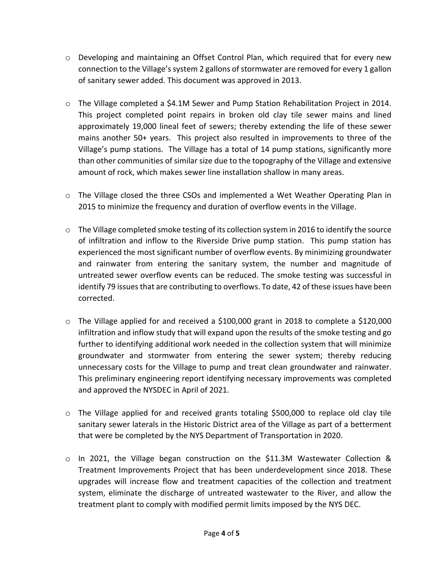- o Developing and maintaining an Offset Control Plan, which required that for every new connection to the Village's system 2 gallons of stormwater are removed for every 1 gallon of sanitary sewer added. This document was approved in 2013.
- o The Village completed a \$4.1M Sewer and Pump Station Rehabilitation Project in 2014. This project completed point repairs in broken old clay tile sewer mains and lined approximately 19,000 lineal feet of sewers; thereby extending the life of these sewer mains another 50+ years. This project also resulted in improvements to three of the Village's pump stations. The Village has a total of 14 pump stations, significantly more than other communities of similar size due to the topography of the Village and extensive amount of rock, which makes sewer line installation shallow in many areas.
- o The Village closed the three CSOs and implemented a Wet Weather Operating Plan in 2015 to minimize the frequency and duration of overflow events in the Village.
- $\circ$  The Village completed smoke testing of its collection system in 2016 to identify the source of infiltration and inflow to the Riverside Drive pump station. This pump station has experienced the most significant number of overflow events. By minimizing groundwater and rainwater from entering the sanitary system, the number and magnitude of untreated sewer overflow events can be reduced. The smoke testing was successful in identify 79 issues that are contributing to overflows. To date, 42 of these issues have been corrected.
- $\circ$  The Village applied for and received a \$100,000 grant in 2018 to complete a \$120,000 infiltration and inflow study that will expand upon the results of the smoke testing and go further to identifying additional work needed in the collection system that will minimize groundwater and stormwater from entering the sewer system; thereby reducing unnecessary costs for the Village to pump and treat clean groundwater and rainwater. This preliminary engineering report identifying necessary improvements was completed and approved the NYSDEC in April of 2021.
- o The Village applied for and received grants totaling \$500,000 to replace old clay tile sanitary sewer laterals in the Historic District area of the Village as part of a betterment that were be completed by the NYS Department of Transportation in 2020.
- o In 2021, the Village began construction on the \$11.3M Wastewater Collection & Treatment Improvements Project that has been underdevelopment since 2018. These upgrades will increase flow and treatment capacities of the collection and treatment system, eliminate the discharge of untreated wastewater to the River, and allow the treatment plant to comply with modified permit limits imposed by the NYS DEC.